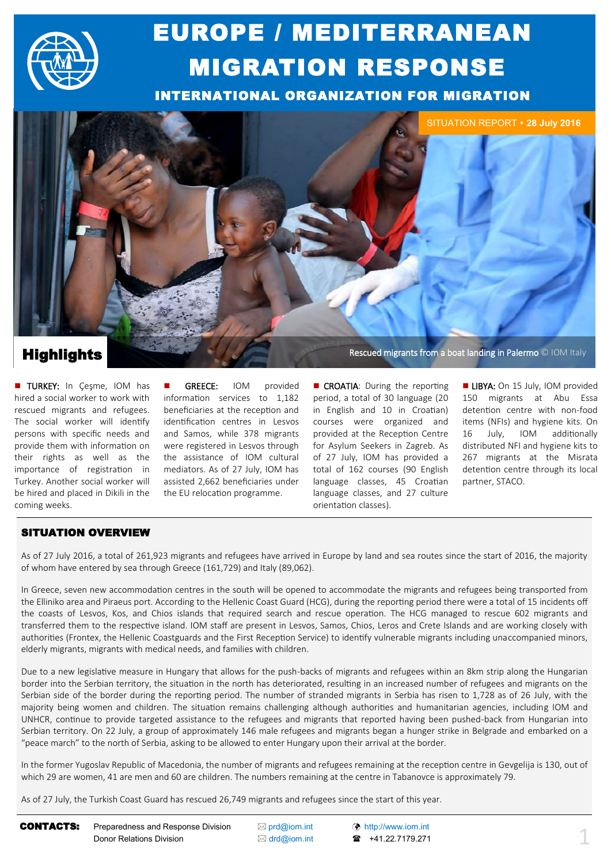

# EUROPE / MEDITERRANEAN MIGRATION RESPONSE

INTERNATIONAL ORGANIZATION FOR MIGRATION



**TURKEY:** In Cesme, IOM has hired a social worker to work with rescued migrants and refugees. The social worker will identify persons with specific needs and provide them with information on their rights as well as the importance of registration in Turkey. Another social worker will be hired and placed in Dikili in the coming weeks.

 GREECE: IOM provided information services to 1,182 beneficiaries at the reception and identification centres in Lesvos and Samos, while 378 migrants were registered in Lesvos through the assistance of IOM cultural mediators. As of 27 July, IOM has assisted 2,662 beneficiaries under the EU relocation programme.

**Highlights Rescued migrants from a boat landing in Palermo © IOM Italy Rescued migrants from a boat landing in Palermo © IOM Italy** 

**CROATIA:** During the reporting period, a total of 30 language (20 in English and 10 in Croatian) courses were organized and provided at the Reception Centre for Asylum Seekers in Zagreb. As of 27 July, IOM has provided a total of 162 courses (90 English language classes, 45 Croatian language classes, and 27 culture orientation classes).

**LIBYA:** On 15 July, IOM provided 150 migrants at Abu Essa detention centre with non-food items (NFIs) and hygiene kits. On 16 July, IOM additionally distributed NFI and hygiene kits to 267 migrants at the Misrata detention centre through its local partner, STACO.

### SITUATION OVERVIEW

As of 27 July 2016, a total of 261,923 migrants and refugees have arrived in Europe by land and sea routes since the start of 2016, the majority of whom have entered by sea through Greece (161,729) and Italy (89,062).

In Greece, seven new accommodation centres in the south will be opened to accommodate the migrants and refugees being transported from the Elliniko area and Piraeus port. According to the Hellenic Coast Guard (HCG), during the reporting period there were a total of 15 incidents off the coasts of Lesvos, Kos, and Chios islands that required search and rescue operation. The HCG managed to rescue 602 migrants and transferred them to the respective island. IOM staff are present in Lesvos, Samos, Chios, Leros and Crete Islands and are working closely with authorities (Frontex, the Hellenic Coastguards and the First Reception Service) to identify vulnerable migrants including unaccompanied minors, elderly migrants, migrants with medical needs, and families with children.

Due to a new legislative measure in Hungary that allows for the push-backs of migrants and refugees within an 8km strip along the Hungarian border into the Serbian territory, the situation in the north has deteriorated, resulting in an increased number of refugees and migrants on the Serbian side of the border during the reporting period. The number of stranded migrants in Serbia has risen to 1,728 as of 26 July, with the majority being women and children. The situation remains challenging although authorities and humanitarian agencies, including IOM and UNHCR, continue to provide targeted assistance to the refugees and migrants that reported having been pushed-back from Hungarian into Serbian territory. On 22 July, a group of approximately 146 male refugees and migrants began a hunger strike in Belgrade and embarked on a "peace march" to the north of Serbia, asking to be allowed to enter Hungary upon their arrival at the border.

In the former Yugoslav Republic of Macedonia, the number of migrants and refugees remaining at the reception centre in Gevgelija is 130, out of which 29 are women, 41 are men and 60 are children. The numbers remaining at the centre in Tabanovce is approximately 79.

As of 27 July, the Turkish Coast Guard has rescued 26,749 migrants and refugees since the start of this year.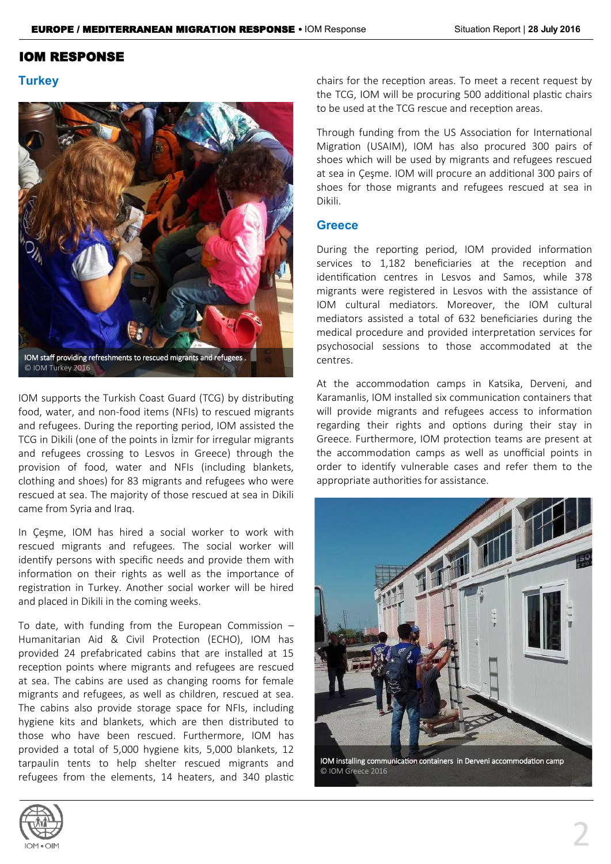### IOM RESPONSE

### **Turkey**



© IOM Turkey 2016

IOM supports the Turkish Coast Guard (TCG) by distributing food, water, and non-food items (NFIs) to rescued migrants and refugees. During the reporting period, IOM assisted the TCG in Dikili (one of the points in İzmir for irregular migrants and refugees crossing to Lesvos in Greece) through the provision of food, water and NFIs (including blankets, clothing and shoes) for 83 migrants and refugees who were rescued at sea. The majority of those rescued at sea in Dikili came from Syria and Iraq.

In Çeşme, IOM has hired a social worker to work with rescued migrants and refugees. The social worker will identify persons with specific needs and provide them with information on their rights as well as the importance of registration in Turkey. Another social worker will be hired and placed in Dikili in the coming weeks.

To date, with funding from the European Commission – Humanitarian Aid & Civil Protection (ECHO), IOM has provided 24 prefabricated cabins that are installed at 15 reception points where migrants and refugees are rescued at sea. The cabins are used as changing rooms for female migrants and refugees, as well as children, rescued at sea. The cabins also provide storage space for NFIs, including hygiene kits and blankets, which are then distributed to those who have been rescued. Furthermore, IOM has provided a total of 5,000 hygiene kits, 5,000 blankets, 12 tarpaulin tents to help shelter rescued migrants and refugees from the elements, 14 heaters, and 340 plastic chairs for the reception areas. To meet a recent request by the TCG, IOM will be procuring 500 additional plastic chairs to be used at the TCG rescue and reception areas.

Through funding from the US Association for International Migration (USAIM), IOM has also procured 300 pairs of shoes which will be used by migrants and refugees rescued at sea in Çeşme. IOM will procure an additional 300 pairs of shoes for those migrants and refugees rescued at sea in Dikili.

### **Greece**

During the reporting period, IOM provided information services to 1,182 beneficiaries at the reception and identification centres in Lesvos and Samos, while 378 migrants were registered in Lesvos with the assistance of IOM cultural mediators. Moreover, the IOM cultural mediators assisted a total of 632 beneficiaries during the medical procedure and provided interpretation services for psychosocial sessions to those accommodated at the centres.

At the accommodation camps in Katsika, Derveni, and Karamanlis, IOM installed six communication containers that will provide migrants and refugees access to information regarding their rights and options during their stay in Greece. Furthermore, IOM protection teams are present at the accommodation camps as well as unofficial points in order to identify vulnerable cases and refer them to the appropriate authorities for assistance.



IOM installing communication containers in Derveni accommodation camp © IOM Greece 2016

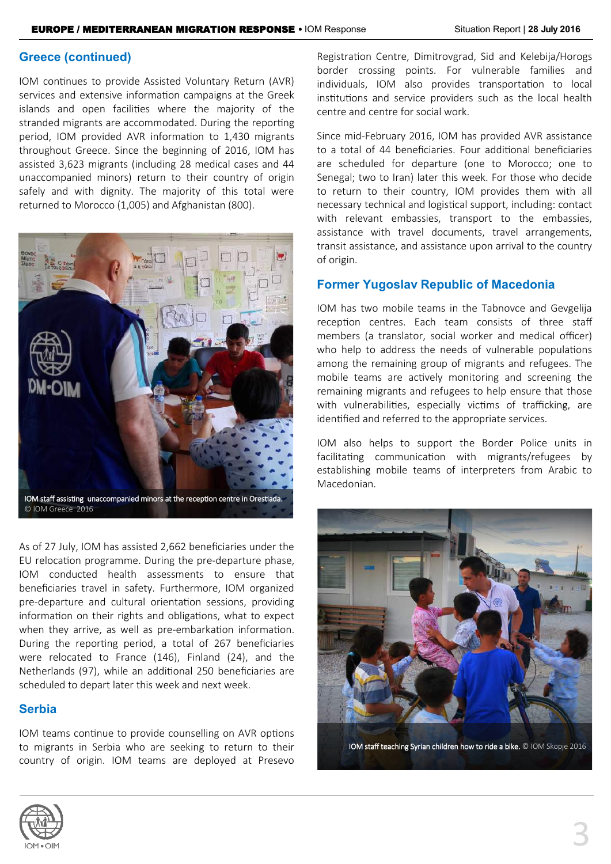### **Greece (continued)**

IOM continues to provide Assisted Voluntary Return (AVR) services and extensive information campaigns at the Greek islands and open facilities where the majority of the stranded migrants are accommodated. During the reporting period, IOM provided AVR information to 1,430 migrants throughout Greece. Since the beginning of 2016, IOM has assisted 3,623 migrants (including 28 medical cases and 44 unaccompanied minors) return to their country of origin safely and with dignity. The majority of this total were returned to Morocco (1,005) and Afghanistan (800).



As of 27 July, IOM has assisted 2,662 beneficiaries under the EU relocation programme. During the pre-departure phase, IOM conducted health assessments to ensure that beneficiaries travel in safety. Furthermore, IOM organized pre-departure and cultural orientation sessions, providing information on their rights and obligations, what to expect when they arrive, as well as pre-embarkation information. During the reporting period, a total of 267 beneficiaries were relocated to France (146), Finland (24), and the Netherlands (97), while an additional 250 beneficiaries are scheduled to depart later this week and next week.

### **Serbia**

IOM teams continue to provide counselling on AVR options to migrants in Serbia who are seeking to return to their country of origin. IOM teams are deployed at Presevo

Registration Centre, Dimitrovgrad, Sid and Kelebija/Horogs border crossing points. For vulnerable families and individuals, IOM also provides transportation to local institutions and service providers such as the local health centre and centre for social work.

Since mid-February 2016, IOM has provided AVR assistance to a total of 44 beneficiaries. Four additional beneficiaries are scheduled for departure (one to Morocco; one to Senegal; two to Iran) later this week. For those who decide to return to their country, IOM provides them with all necessary technical and logistical support, including: contact with relevant embassies, transport to the embassies, assistance with travel documents, travel arrangements, transit assistance, and assistance upon arrival to the country of origin.

### **Former Yugoslav Republic of Macedonia**

IOM has two mobile teams in the Tabnovce and Gevgelija reception centres. Each team consists of three staff members (a translator, social worker and medical officer) who help to address the needs of vulnerable populations among the remaining group of migrants and refugees. The mobile teams are actively monitoring and screening the remaining migrants and refugees to help ensure that those with vulnerabilities, especially victims of trafficking, are identified and referred to the appropriate services.

IOM also helps to support the Border Police units in facilitating communication with migrants/refugees by establishing mobile teams of interpreters from Arabic to Macedonian.



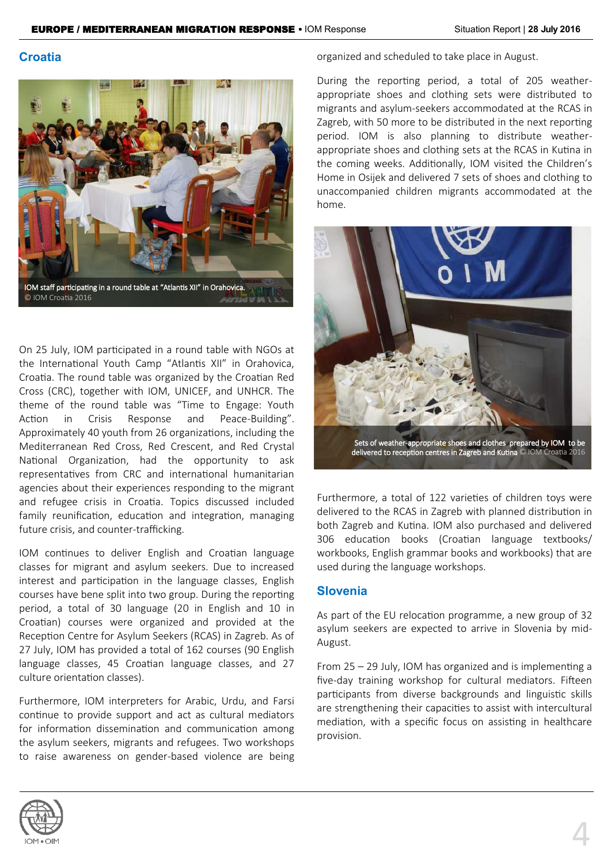### **Croatia**



On 25 July, IOM participated in a round table with NGOs at the International Youth Camp "Atlantis XII" in Orahovica, Croatia. The round table was organized by the Croatian Red Cross (CRC), together with IOM, UNICEF, and UNHCR. The theme of the round table was "Time to Engage: Youth Action in Crisis Response and Peace-Building". Approximately 40 youth from 26 organizations, including the Mediterranean Red Cross, Red Crescent, and Red Crystal National Organization, had the opportunity to ask representatives from CRC and international humanitarian agencies about their experiences responding to the migrant and refugee crisis in Croatia. Topics discussed included family reunification, education and integration, managing future crisis, and counter-trafficking.

IOM continues to deliver English and Croatian language classes for migrant and asylum seekers. Due to increased interest and participation in the language classes, English courses have bene split into two group. During the reporting period, a total of 30 language (20 in English and 10 in Croatian) courses were organized and provided at the Reception Centre for Asylum Seekers (RCAS) in Zagreb. As of 27 July, IOM has provided a total of 162 courses (90 English language classes, 45 Croatian language classes, and 27 culture orientation classes).

Furthermore, IOM interpreters for Arabic, Urdu, and Farsi continue to provide support and act as cultural mediators for information dissemination and communication among the asylum seekers, migrants and refugees. Two workshops to raise awareness on gender-based violence are being organized and scheduled to take place in August.

During the reporting period, a total of 205 weatherappropriate shoes and clothing sets were distributed to migrants and asylum-seekers accommodated at the RCAS in Zagreb, with 50 more to be distributed in the next reporting period. IOM is also planning to distribute weatherappropriate shoes and clothing sets at the RCAS in Kutina in the coming weeks. Additionally, IOM visited the Children's Home in Osijek and delivered 7 sets of shoes and clothing to unaccompanied children migrants accommodated at the home.



delivered to reception centres in Zagreb and Kutina © IOM Croatia 2016

Furthermore, a total of 122 varieties of children toys were delivered to the RCAS in Zagreb with planned distribution in both Zagreb and Kutina. IOM also purchased and delivered 306 education books (Croatian language textbooks/ workbooks, English grammar books and workbooks) that are used during the language workshops.

### **Slovenia**

As part of the EU relocation programme, a new group of 32 asylum seekers are expected to arrive in Slovenia by mid-August.

From 25 – 29 July, IOM has organized and is implementing a five-day training workshop for cultural mediators. Fifteen participants from diverse backgrounds and linguistic skills are strengthening their capacities to assist with intercultural mediation, with a specific focus on assisting in healthcare provision.

4

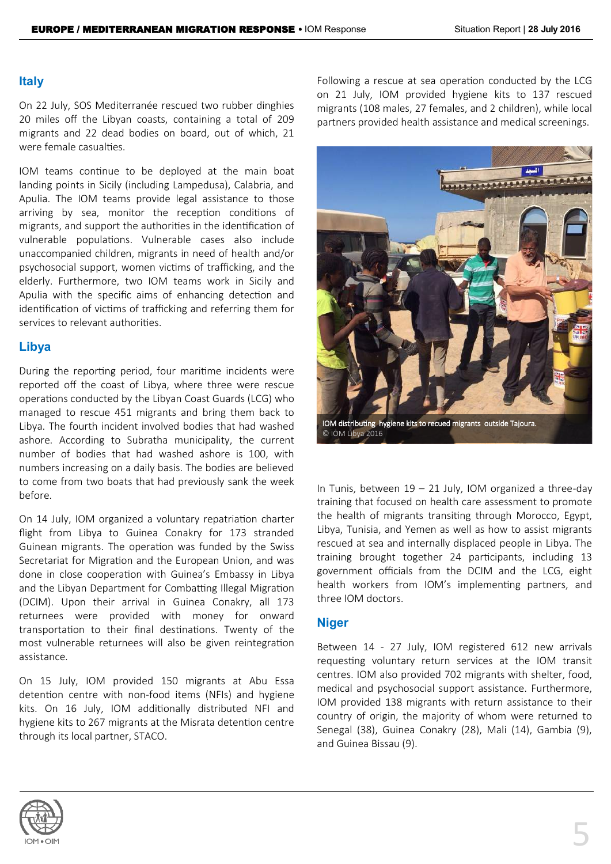### **Italy**

On 22 July, SOS Mediterranée rescued two rubber dinghies 20 miles off the Libyan coasts, containing a total of 209 migrants and 22 dead bodies on board, out of which, 21 were female casualties.

IOM teams continue to be deployed at the main boat landing points in Sicily (including Lampedusa), Calabria, and Apulia. The IOM teams provide legal assistance to those arriving by sea, monitor the reception conditions of migrants, and support the authorities in the identification of vulnerable populations. Vulnerable cases also include unaccompanied children, migrants in need of health and/or psychosocial support, women victims of trafficking, and the elderly. Furthermore, two IOM teams work in Sicily and Apulia with the specific aims of enhancing detection and identification of victims of trafficking and referring them for services to relevant authorities.

### **Libya**

During the reporting period, four maritime incidents were reported off the coast of Libya, where three were rescue operations conducted by the Libyan Coast Guards (LCG) who managed to rescue 451 migrants and bring them back to Libya. The fourth incident involved bodies that had washed ashore. According to Subratha municipality, the current number of bodies that had washed ashore is 100, with numbers increasing on a daily basis. The bodies are believed to come from two boats that had previously sank the week before.

On 14 July, IOM organized a voluntary repatriation charter flight from Libya to Guinea Conakry for 173 stranded Guinean migrants. The operation was funded by the Swiss Secretariat for Migration and the European Union, and was done in close cooperation with Guinea's Embassy in Libya and the Libyan Department for Combatting Illegal Migration (DCIM). Upon their arrival in Guinea Conakry, all 173 returnees were provided with money for onward transportation to their final destinations. Twenty of the most vulnerable returnees will also be given reintegration assistance.

On 15 July, IOM provided 150 migrants at Abu Essa detention centre with non-food items (NFIs) and hygiene kits. On 16 July, IOM additionally distributed NFI and hygiene kits to 267 migrants at the Misrata detention centre through its local partner, STACO.

Following a rescue at sea operation conducted by the LCG on 21 July, IOM provided hygiene kits to 137 rescued migrants (108 males, 27 females, and 2 children), while local partners provided health assistance and medical screenings.



In Tunis, between  $19 - 21$  July, IOM organized a three-day training that focused on health care assessment to promote the health of migrants transiting through Morocco, Egypt, Libya, Tunisia, and Yemen as well as how to assist migrants rescued at sea and internally displaced people in Libya. The training brought together 24 participants, including 13 government officials from the DCIM and the LCG, eight health workers from IOM's implementing partners, and three IOM doctors.

### **Niger**

Between 14 - 27 July, IOM registered 612 new arrivals requesting voluntary return services at the IOM transit centres. IOM also provided 702 migrants with shelter, food, medical and psychosocial support assistance. Furthermore, IOM provided 138 migrants with return assistance to their country of origin, the majority of whom were returned to Senegal (38), Guinea Conakry (28), Mali (14), Gambia (9), and Guinea Bissau (9).

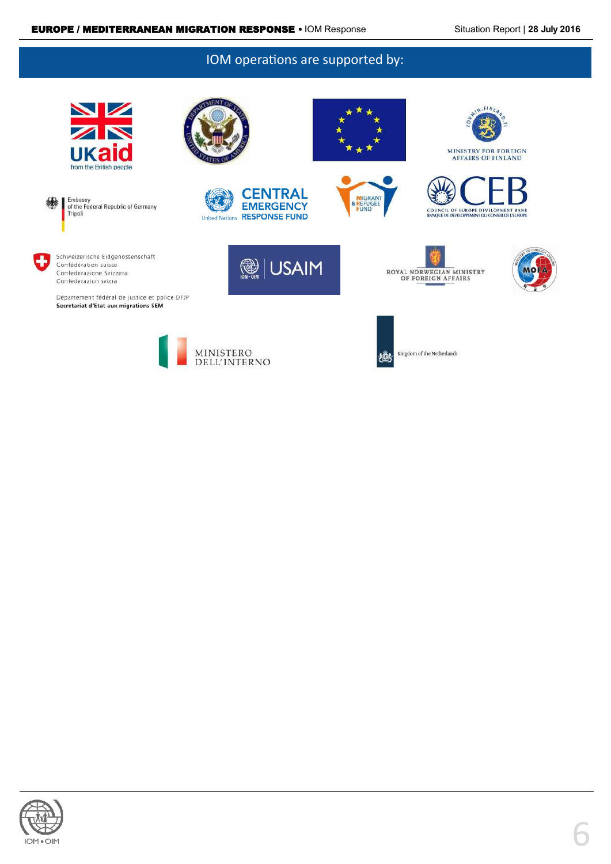### IOM operations are supported by:



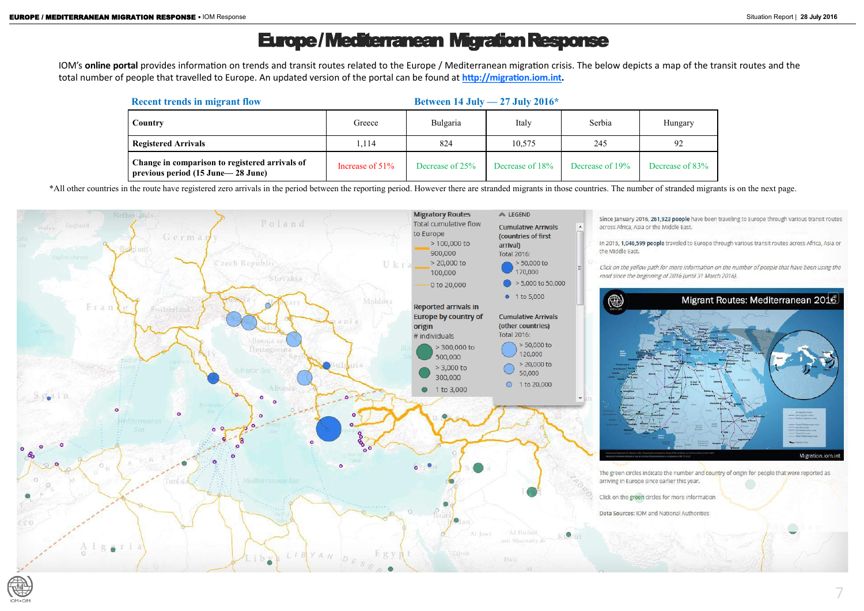# Europe / Mediterranean Migration Response

IOM's **online portal** provides information on trends and transit routes related to the Europe / Mediterranean migration crisis. The below depicts a map of the transit routes and the total number of people that travelled to Europe. An updated version of the portal can be found at **[http://migration.iom.int.](http://migration.iom.int)** 

\*All other countries in the route have registered zero arrivals in the period between the reporting period. However there are stranded migrants in those countries. The number of stranded migrants is on the next page.



Decrease of 83%

| <b>Recent trends in migrant flow</b>                                                  |                    |                 |                 | Between 14 July $-27$ July 2016* |             |  |  |
|---------------------------------------------------------------------------------------|--------------------|-----------------|-----------------|----------------------------------|-------------|--|--|
| Country                                                                               | Greece             | Bulgaria        | Italy           | Serbia                           | Hungary     |  |  |
| <b>Registered Arrivals</b>                                                            | 1,114              | 824             | 10,575          | 245                              | 92          |  |  |
| Change in comparison to registered arrivals of<br>previous period (15 June – 28 June) | Increase of $51\%$ | Decrease of 25% | Decrease of 18% | Decrease of 19%                  | Decrease of |  |  |